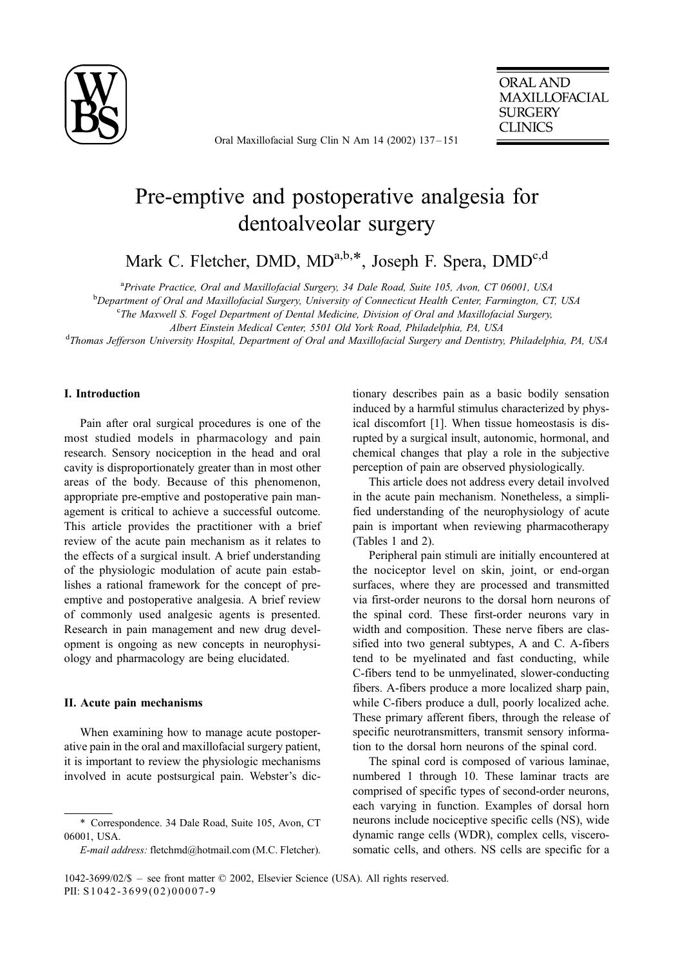

Oral Maxillofacial Surg Clin N Am 14 (2002) 137-151

# Pre-emptive and postoperative analgesia for dentoalveolar surgery

Mark C. Fletcher, DMD,  $MD^{a,b,*}$ , Joseph F. Spera,  $DMD^{c,d}$ 

<sup>a</sup> Private Practice, Oral and Maxillofacial Surgery, 34 Dale Road, Suite 105, Avon, CT 06001, USA<br><sup>b</sup> Department of Oral and Maxillofacial Surgery, University of Connecticut Health Center, Ecrminator, CT

<sup>b</sup>Department of Oral and Maxillofacial Surgery, University of Connecticut Health Center, Farmington, CT, USA

<sup>c</sup>The Maxwell S. Fogel Department of Dental Medicine, Division of Oral and Maxillofacial Surgery,

Albert Einstein Medical Center, 5501 Old York Road, Philadelphia, PA, USA

<sup>d</sup>Thomas Jefferson University Hospital, Department of Oral and Maxillofacial Surgery and Dentistry, Philadelphia, PA, USA

# I. Introduction

Pain after oral surgical procedures is one of the most studied models in pharmacology and pain research. Sensory nociception in the head and oral cavity is disproportionately greater than in most other areas of the body. Because of this phenomenon, appropriate pre-emptive and postoperative pain management is critical to achieve a successful outcome. This article provides the practitioner with a brief review of the acute pain mechanism as it relates to the effects of a surgical insult. A brief understanding of the physiologic modulation of acute pain establishes a rational framework for the concept of preemptive and postoperative analgesia. A brief review of commonly used analgesic agents is presented. Research in pain management and new drug development is ongoing as new concepts in neurophysiology and pharmacology are being elucidated.

## II. Acute pain mechanisms

When examining how to manage acute postoperative pain in the oral and maxillofacial surgery patient, it is important to review the physiologic mechanisms involved in acute postsurgical pain. Webster's dic-

tionary describes pain as a basic bodily sensation induced by a harmful stimulus characterized by physical discomfort [1]. When tissue homeostasis is disrupted by a surgical insult, autonomic, hormonal, and chemical changes that play a role in the subjective perception of pain are observed physiologically.

This article does not address every detail involved in the acute pain mechanism. Nonetheless, a simplified understanding of the neurophysiology of acute pain is important when reviewing pharmacotherapy (Tables 1 and 2).

Peripheral pain stimuli are initially encountered at the nociceptor level on skin, joint, or end-organ surfaces, where they are processed and transmitted via first-order neurons to the dorsal horn neurons of the spinal cord. These first-order neurons vary in width and composition. These nerve fibers are classified into two general subtypes, A and C. A-fibers tend to be myelinated and fast conducting, while C-fibers tend to be unmyelinated, slower-conducting fibers. A-fibers produce a more localized sharp pain, while C-fibers produce a dull, poorly localized ache. These primary afferent fibers, through the release of specific neurotransmitters, transmit sensory information to the dorsal horn neurons of the spinal cord.

The spinal cord is composed of various laminae, numbered 1 through 10. These laminar tracts are comprised of specific types of second-order neurons, each varying in function. Examples of dorsal horn neurons include nociceptive specific cells (NS), wide dynamic range cells (WDR), complex cells, viscerosomatic cells, and others. NS cells are specific for a

<sup>\*</sup> Correspondence. 34 Dale Road, Suite 105, Avon, CT 06001, USA.

E-mail address: fletchmd@hotmail.com (M.C. Fletcher).

<sup>1042-3699/02/\$ -</sup> see front matter © 2002, Elsevier Science (USA). All rights reserved. PII: S1042-3699(02)00007-9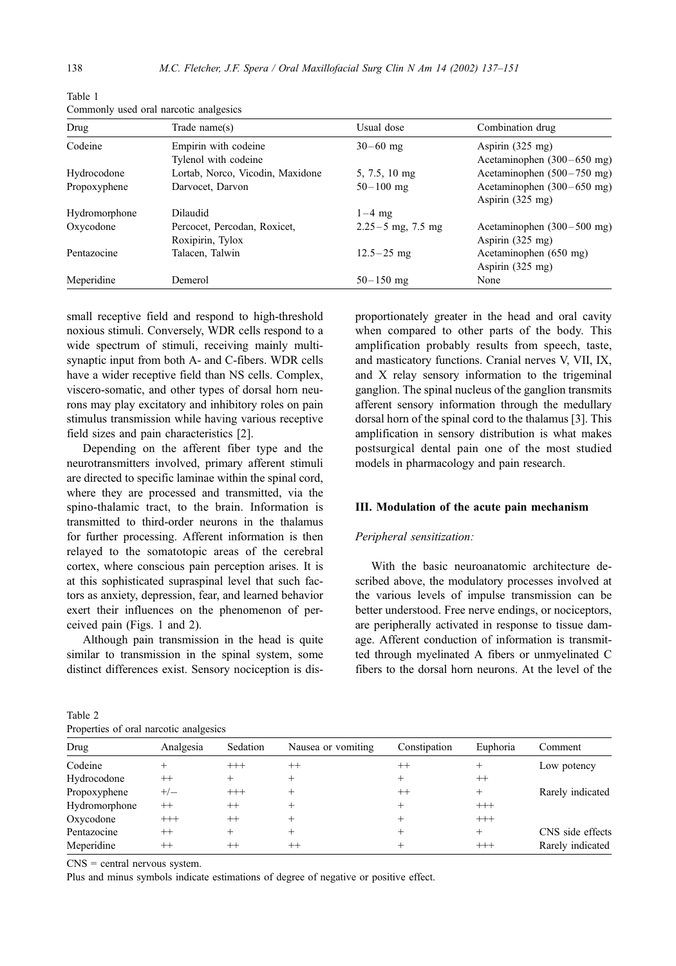| Drug          | Trade name $(s)$                 | Usual dose            | Combination drug                     |  |
|---------------|----------------------------------|-----------------------|--------------------------------------|--|
| Codeine       | Empirin with codeine             | $30 - 60$ mg          | Aspirin $(325 \text{ mg})$           |  |
|               | Tylenol with codeine             |                       | Acetaminophen $(300-650 \text{ mg})$ |  |
| Hydrocodone   | Lortab, Norco, Vicodin, Maxidone | 5, 7.5, 10 mg         | Acetaminophen $(500-750 \text{ mg})$ |  |
| Propoxyphene  | Darvocet, Darvon                 | $50 - 100$ mg         | Acetaminophen $(300-650$ mg)         |  |
|               |                                  |                       | Aspirin $(325 \text{ mg})$           |  |
| Hydromorphone | Dilaudid                         | $1-4$ mg              |                                      |  |
| Oxycodone     | Percocet, Percodan, Roxicet,     | $2.25 - 5$ mg, 7.5 mg | Acetaminophen $(300-500$ mg)         |  |
|               | Roxipirin, Tylox                 |                       | Aspirin $(325 \text{ mg})$           |  |
| Pentazocine   | Talacen, Talwin                  | $12.5 - 25$ mg        | Acetaminophen (650 mg)               |  |
|               |                                  |                       | Aspirin $(325 \text{ mg})$           |  |
| Meperidine    | Demerol                          | $50 - 150$ mg         | None                                 |  |

Table 1 Commonly used oral narcotic analgesics

small receptive field and respond to high-threshold noxious stimuli. Conversely, WDR cells respond to a wide spectrum of stimuli, receiving mainly multisynaptic input from both A- and C-fibers. WDR cells have a wider receptive field than NS cells. Complex, viscero-somatic, and other types of dorsal horn neurons may play excitatory and inhibitory roles on pain stimulus transmission while having various receptive field sizes and pain characteristics [2].

Depending on the afferent fiber type and the neurotransmitters involved, primary afferent stimuli are directed to specific laminae within the spinal cord, where they are processed and transmitted, via the spino-thalamic tract, to the brain. Information is transmitted to third-order neurons in the thalamus for further processing. Afferent information is then relayed to the somatotopic areas of the cerebral cortex, where conscious pain perception arises. It is at this sophisticated supraspinal level that such factors as anxiety, depression, fear, and learned behavior exert their influences on the phenomenon of perceived pain (Figs. 1 and 2).

Although pain transmission in the head is quite similar to transmission in the spinal system, some distinct differences exist. Sensory nociception is dis-

Table 2 Properties of oral narcotic analgesics

proportionately greater in the head and oral cavity when compared to other parts of the body. This amplification probably results from speech, taste, and masticatory functions. Cranial nerves V, VII, IX, and X relay sensory information to the trigeminal ganglion. The spinal nucleus of the ganglion transmits afferent sensory information through the medullary dorsal horn of the spinal cord to the thalamus [3]. This amplification in sensory distribution is what makes postsurgical dental pain one of the most studied models in pharmacology and pain research.

#### III. Modulation of the acute pain mechanism

## Peripheral sensitization:

With the basic neuroanatomic architecture described above, the modulatory processes involved at the various levels of impulse transmission can be better understood. Free nerve endings, or nociceptors, are peripherally activated in response to tissue damage. Afferent conduction of information is transmitted through myelinated A fibers or unmyelinated C fibers to the dorsal horn neurons. At the level of the

| Drug          | Analgesia  | Sedation           | Nausea or vomiting | Constipation | Euphoria | Comment          |  |  |
|---------------|------------|--------------------|--------------------|--------------|----------|------------------|--|--|
| Codeine       |            | $^{+++}$           | $^{++}$            | $^{++}$      | ÷        | Low potency      |  |  |
| Hydrocodone   | $^{++}$    | $\hskip 0.025cm +$ |                    |              | $^{++}$  |                  |  |  |
| Propoxyphene  | $^{+\!/-}$ | $^{+++}$           |                    | $^{++}$      | $^{+}$   | Rarely indicated |  |  |
| Hydromorphone | $^{++}$    | $^{++}$            |                    |              | $^{+++}$ |                  |  |  |
| Oxycodone     | $^{+++}$   | $^{++}$            |                    |              | $^{+++}$ |                  |  |  |
| Pentazocine   | $^{++}$    | +                  |                    |              | $^{+}$   | CNS side effects |  |  |
| Meperidine    | $^{++}$    | $^{\pm\pm}$        | $^{++}$            |              | $^{+++}$ | Rarely indicated |  |  |

CNS = central nervous system.

Plus and minus symbols indicate estimations of degree of negative or positive effect.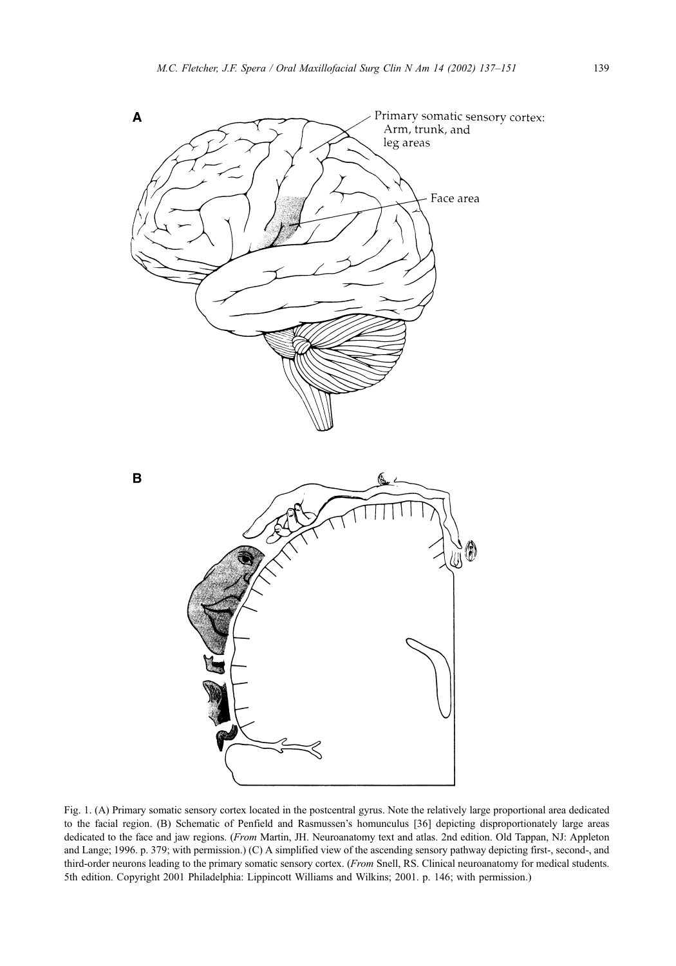

Fig. 1. (A) Primary somatic sensory cortex located in the postcentral gyrus. Note the relatively large proportional area dedicated to the facial region. (B) Schematic of Penfield and Rasmussen's homunculus [36] depicting disproportionately large areas dedicated to the face and jaw regions. (From Martin, JH. Neuroanatomy text and atlas. 2nd edition. Old Tappan, NJ: Appleton and Lange; 1996. p. 379; with permission.) (C) A simplified view of the ascending sensory pathway depicting first-, second-, and third-order neurons leading to the primary somatic sensory cortex. (From Snell, RS. Clinical neuroanatomy for medical students. 5th edition. Copyright 2001 Philadelphia: Lippincott Williams and Wilkins; 2001. p. 146; with permission.)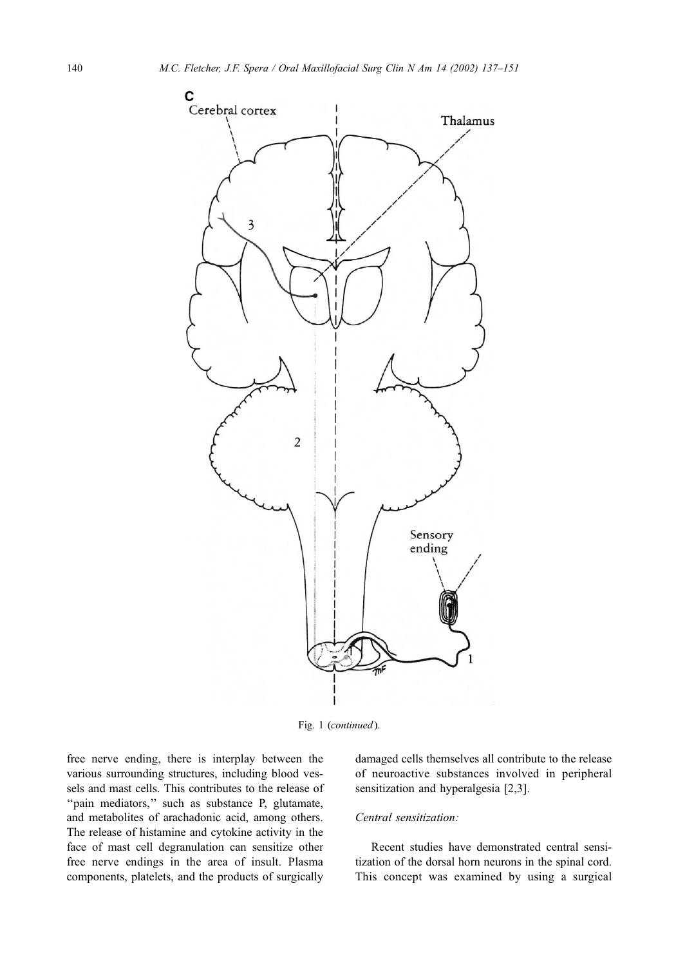

Fig. 1 (continued).

free nerve ending, there is interplay between the various surrounding structures, including blood vessels and mast cells. This contributes to the release of "pain mediators," such as substance P, glutamate, and metabolites of arachadonic acid, among others. The release of histamine and cytokine activity in the face of mast cell degranulation can sensitize other free nerve endings in the area of insult. Plasma components, platelets, and the products of surgically damaged cells themselves all contribute to the release of neuroactive substances involved in peripheral sensitization and hyperalgesia [2,3].

#### Central sensitization:

Recent studies have demonstrated central sensitization of the dorsal horn neurons in the spinal cord. This concept was examined by using a surgical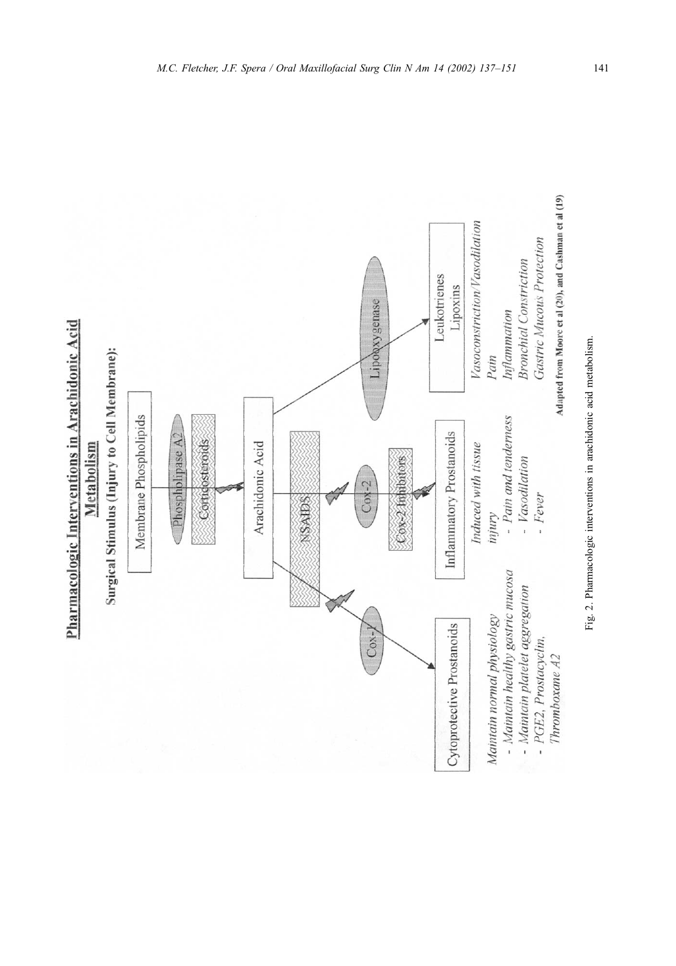

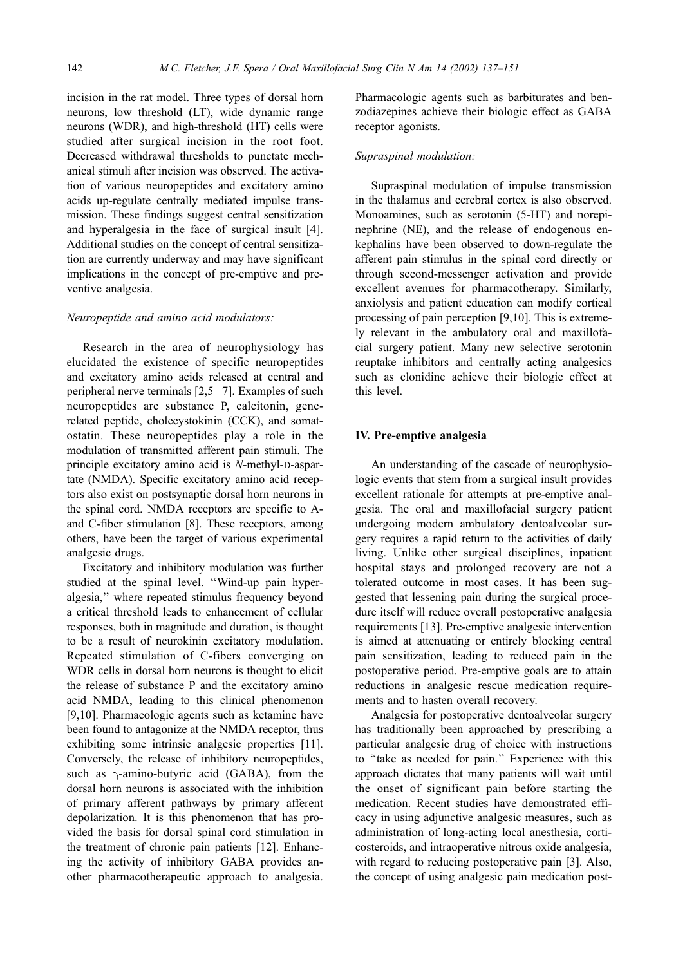incision in the rat model. Three types of dorsal horn neurons, low threshold (LT), wide dynamic range neurons (WDR), and high-threshold (HT) cells were studied after surgical incision in the root foot. Decreased withdrawal thresholds to punctate mechanical stimuli after incision was observed. The activation of various neuropeptides and excitatory amino acids up-regulate centrally mediated impulse transmission. These findings suggest central sensitization and hyperalgesia in the face of surgical insult [4]. Additional studies on the concept of central sensitization are currently underway and may have significant implications in the concept of pre-emptive and preventive analgesia.

#### Neuropeptide and amino acid modulators:

Research in the area of neurophysiology has elucidated the existence of specific neuropeptides and excitatory amino acids released at central and peripheral nerve terminals [2,5 – 7]. Examples of such neuropeptides are substance P, calcitonin, generelated peptide, cholecystokinin (CCK), and somatostatin. These neuropeptides play a role in the modulation of transmitted afferent pain stimuli. The principle excitatory amino acid is N-methyl-D-aspartate (NMDA). Specific excitatory amino acid receptors also exist on postsynaptic dorsal horn neurons in the spinal cord. NMDA receptors are specific to Aand C-fiber stimulation [8]. These receptors, among others, have been the target of various experimental analgesic drugs.

Excitatory and inhibitory modulation was further studied at the spinal level. ''Wind-up pain hyperalgesia,'' where repeated stimulus frequency beyond a critical threshold leads to enhancement of cellular responses, both in magnitude and duration, is thought to be a result of neurokinin excitatory modulation. Repeated stimulation of C-fibers converging on WDR cells in dorsal horn neurons is thought to elicit the release of substance P and the excitatory amino acid NMDA, leading to this clinical phenomenon [9,10]. Pharmacologic agents such as ketamine have been found to antagonize at the NMDA receptor, thus exhibiting some intrinsic analgesic properties [11]. Conversely, the release of inhibitory neuropeptides, such as  $\gamma$ -amino-butyric acid (GABA), from the dorsal horn neurons is associated with the inhibition of primary afferent pathways by primary afferent depolarization. It is this phenomenon that has provided the basis for dorsal spinal cord stimulation in the treatment of chronic pain patients [12]. Enhancing the activity of inhibitory GABA provides another pharmacotherapeutic approach to analgesia. Pharmacologic agents such as barbiturates and benzodiazepines achieve their biologic effect as GABA receptor agonists.

# Supraspinal modulation:

Supraspinal modulation of impulse transmission in the thalamus and cerebral cortex is also observed. Monoamines, such as serotonin (5-HT) and norepinephrine (NE), and the release of endogenous enkephalins have been observed to down-regulate the afferent pain stimulus in the spinal cord directly or through second-messenger activation and provide excellent avenues for pharmacotherapy. Similarly, anxiolysis and patient education can modify cortical processing of pain perception [9,10]. This is extremely relevant in the ambulatory oral and maxillofacial surgery patient. Many new selective serotonin reuptake inhibitors and centrally acting analgesics such as clonidine achieve their biologic effect at this level.

## IV. Pre-emptive analgesia

An understanding of the cascade of neurophysiologic events that stem from a surgical insult provides excellent rationale for attempts at pre-emptive analgesia. The oral and maxillofacial surgery patient undergoing modern ambulatory dentoalveolar surgery requires a rapid return to the activities of daily living. Unlike other surgical disciplines, inpatient hospital stays and prolonged recovery are not a tolerated outcome in most cases. It has been suggested that lessening pain during the surgical procedure itself will reduce overall postoperative analgesia requirements [13]. Pre-emptive analgesic intervention is aimed at attenuating or entirely blocking central pain sensitization, leading to reduced pain in the postoperative period. Pre-emptive goals are to attain reductions in analgesic rescue medication requirements and to hasten overall recovery.

Analgesia for postoperative dentoalveolar surgery has traditionally been approached by prescribing a particular analgesic drug of choice with instructions to ''take as needed for pain.'' Experience with this approach dictates that many patients will wait until the onset of significant pain before starting the medication. Recent studies have demonstrated efficacy in using adjunctive analgesic measures, such as administration of long-acting local anesthesia, corticosteroids, and intraoperative nitrous oxide analgesia, with regard to reducing postoperative pain [3]. Also, the concept of using analgesic pain medication post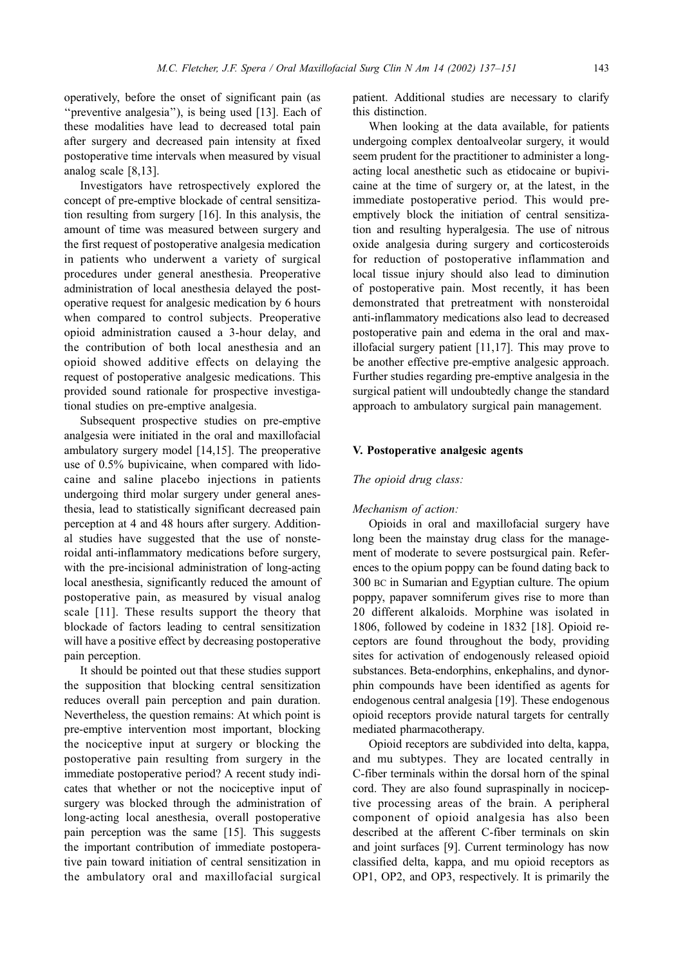operatively, before the onset of significant pain (as "preventive analgesia"), is being used [13]. Each of these modalities have lead to decreased total pain after surgery and decreased pain intensity at fixed postoperative time intervals when measured by visual analog scale [8,13].

Investigators have retrospectively explored the concept of pre-emptive blockade of central sensitization resulting from surgery [16]. In this analysis, the amount of time was measured between surgery and the first request of postoperative analgesia medication in patients who underwent a variety of surgical procedures under general anesthesia. Preoperative administration of local anesthesia delayed the postoperative request for analgesic medication by 6 hours when compared to control subjects. Preoperative opioid administration caused a 3-hour delay, and the contribution of both local anesthesia and an opioid showed additive effects on delaying the request of postoperative analgesic medications. This provided sound rationale for prospective investigational studies on pre-emptive analgesia.

Subsequent prospective studies on pre-emptive analgesia were initiated in the oral and maxillofacial ambulatory surgery model [14,15]. The preoperative use of 0.5% bupivicaine, when compared with lidocaine and saline placebo injections in patients undergoing third molar surgery under general anesthesia, lead to statistically significant decreased pain perception at 4 and 48 hours after surgery. Additional studies have suggested that the use of nonsteroidal anti-inflammatory medications before surgery, with the pre-incisional administration of long-acting local anesthesia, significantly reduced the amount of postoperative pain, as measured by visual analog scale [11]. These results support the theory that blockade of factors leading to central sensitization will have a positive effect by decreasing postoperative pain perception.

It should be pointed out that these studies support the supposition that blocking central sensitization reduces overall pain perception and pain duration. Nevertheless, the question remains: At which point is pre-emptive intervention most important, blocking the nociceptive input at surgery or blocking the postoperative pain resulting from surgery in the immediate postoperative period? A recent study indicates that whether or not the nociceptive input of surgery was blocked through the administration of long-acting local anesthesia, overall postoperative pain perception was the same [15]. This suggests the important contribution of immediate postoperative pain toward initiation of central sensitization in the ambulatory oral and maxillofacial surgical patient. Additional studies are necessary to clarify this distinction.

When looking at the data available, for patients undergoing complex dentoalveolar surgery, it would seem prudent for the practitioner to administer a longacting local anesthetic such as etidocaine or bupivicaine at the time of surgery or, at the latest, in the immediate postoperative period. This would preemptively block the initiation of central sensitization and resulting hyperalgesia. The use of nitrous oxide analgesia during surgery and corticosteroids for reduction of postoperative inflammation and local tissue injury should also lead to diminution of postoperative pain. Most recently, it has been demonstrated that pretreatment with nonsteroidal anti-inflammatory medications also lead to decreased postoperative pain and edema in the oral and maxillofacial surgery patient [11,17]. This may prove to be another effective pre-emptive analgesic approach. Further studies regarding pre-emptive analgesia in the surgical patient will undoubtedly change the standard approach to ambulatory surgical pain management.

#### V. Postoperative analgesic agents

# The opioid drug class:

#### Mechanism of action:

Opioids in oral and maxillofacial surgery have long been the mainstay drug class for the management of moderate to severe postsurgical pain. References to the opium poppy can be found dating back to 300 BC in Sumarian and Egyptian culture. The opium poppy, papaver somniferum gives rise to more than 20 different alkaloids. Morphine was isolated in 1806, followed by codeine in 1832 [18]. Opioid receptors are found throughout the body, providing sites for activation of endogenously released opioid substances. Beta-endorphins, enkephalins, and dynorphin compounds have been identified as agents for endogenous central analgesia [19]. These endogenous opioid receptors provide natural targets for centrally mediated pharmacotherapy.

Opioid receptors are subdivided into delta, kappa, and mu subtypes. They are located centrally in C-fiber terminals within the dorsal horn of the spinal cord. They are also found supraspinally in nociceptive processing areas of the brain. A peripheral component of opioid analgesia has also been described at the afferent C-fiber terminals on skin and joint surfaces [9]. Current terminology has now classified delta, kappa, and mu opioid receptors as OP1, OP2, and OP3, respectively. It is primarily the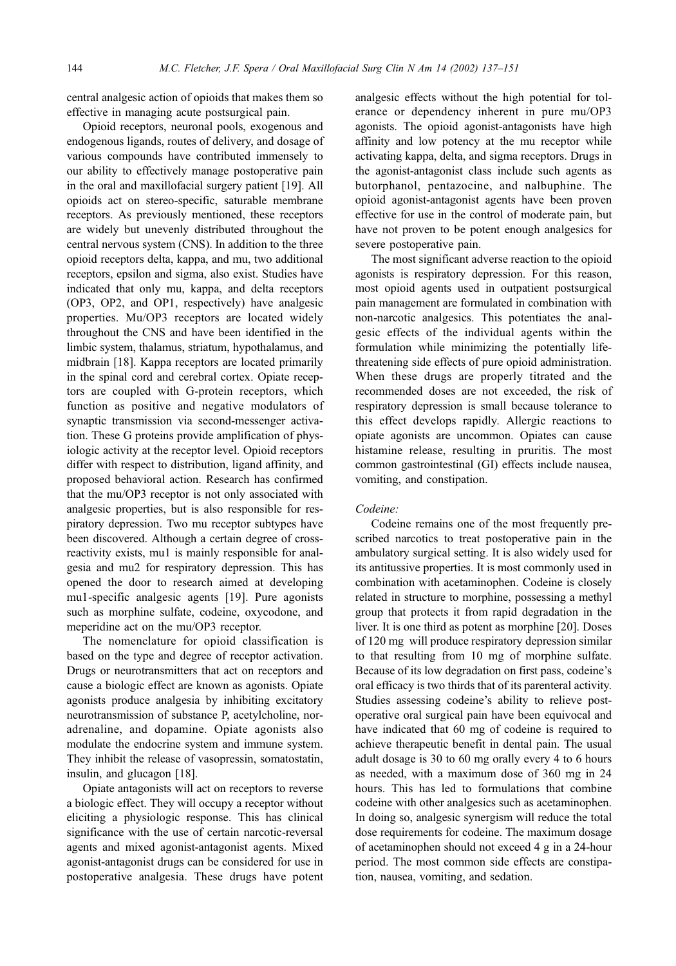central analgesic action of opioids that makes them so effective in managing acute postsurgical pain.

Opioid receptors, neuronal pools, exogenous and endogenous ligands, routes of delivery, and dosage of various compounds have contributed immensely to our ability to effectively manage postoperative pain in the oral and maxillofacial surgery patient [19]. All opioids act on stereo-specific, saturable membrane receptors. As previously mentioned, these receptors are widely but unevenly distributed throughout the central nervous system (CNS). In addition to the three opioid receptors delta, kappa, and mu, two additional receptors, epsilon and sigma, also exist. Studies have indicated that only mu, kappa, and delta receptors (OP3, OP2, and OP1, respectively) have analgesic properties. Mu/OP3 receptors are located widely throughout the CNS and have been identified in the limbic system, thalamus, striatum, hypothalamus, and midbrain [18]. Kappa receptors are located primarily in the spinal cord and cerebral cortex. Opiate receptors are coupled with G-protein receptors, which function as positive and negative modulators of synaptic transmission via second-messenger activation. These G proteins provide amplification of physiologic activity at the receptor level. Opioid receptors differ with respect to distribution, ligand affinity, and proposed behavioral action. Research has confirmed that the mu/OP3 receptor is not only associated with analgesic properties, but is also responsible for respiratory depression. Two mu receptor subtypes have been discovered. Although a certain degree of crossreactivity exists, mu1 is mainly responsible for analgesia and mu2 for respiratory depression. This has opened the door to research aimed at developing mu1-specific analgesic agents [19]. Pure agonists such as morphine sulfate, codeine, oxycodone, and meperidine act on the mu/OP3 receptor.

The nomenclature for opioid classification is based on the type and degree of receptor activation. Drugs or neurotransmitters that act on receptors and cause a biologic effect are known as agonists. Opiate agonists produce analgesia by inhibiting excitatory neurotransmission of substance P, acetylcholine, noradrenaline, and dopamine. Opiate agonists also modulate the endocrine system and immune system. They inhibit the release of vasopressin, somatostatin, insulin, and glucagon [18].

Opiate antagonists will act on receptors to reverse a biologic effect. They will occupy a receptor without eliciting a physiologic response. This has clinical significance with the use of certain narcotic-reversal agents and mixed agonist-antagonist agents. Mixed agonist-antagonist drugs can be considered for use in postoperative analgesia. These drugs have potent analgesic effects without the high potential for tolerance or dependency inherent in pure mu/OP3 agonists. The opioid agonist-antagonists have high affinity and low potency at the mu receptor while activating kappa, delta, and sigma receptors. Drugs in the agonist-antagonist class include such agents as butorphanol, pentazocine, and nalbuphine. The opioid agonist-antagonist agents have been proven effective for use in the control of moderate pain, but have not proven to be potent enough analgesics for severe postoperative pain.

The most significant adverse reaction to the opioid agonists is respiratory depression. For this reason, most opioid agents used in outpatient postsurgical pain management are formulated in combination with non-narcotic analgesics. This potentiates the analgesic effects of the individual agents within the formulation while minimizing the potentially lifethreatening side effects of pure opioid administration. When these drugs are properly titrated and the recommended doses are not exceeded, the risk of respiratory depression is small because tolerance to this effect develops rapidly. Allergic reactions to opiate agonists are uncommon. Opiates can cause histamine release, resulting in pruritis. The most common gastrointestinal (GI) effects include nausea, vomiting, and constipation.

#### Codeine:

Codeine remains one of the most frequently prescribed narcotics to treat postoperative pain in the ambulatory surgical setting. It is also widely used for its antitussive properties. It is most commonly used in combination with acetaminophen. Codeine is closely related in structure to morphine, possessing a methyl group that protects it from rapid degradation in the liver. It is one third as potent as morphine [20]. Doses of 120 mg will produce respiratory depression similar to that resulting from 10 mg of morphine sulfate. Because of its low degradation on first pass, codeine's oral efficacy is two thirds that of its parenteral activity. Studies assessing codeine's ability to relieve postoperative oral surgical pain have been equivocal and have indicated that 60 mg of codeine is required to achieve therapeutic benefit in dental pain. The usual adult dosage is 30 to 60 mg orally every 4 to 6 hours as needed, with a maximum dose of 360 mg in 24 hours. This has led to formulations that combine codeine with other analgesics such as acetaminophen. In doing so, analgesic synergism will reduce the total dose requirements for codeine. The maximum dosage of acetaminophen should not exceed 4 g in a 24-hour period. The most common side effects are constipation, nausea, vomiting, and sedation.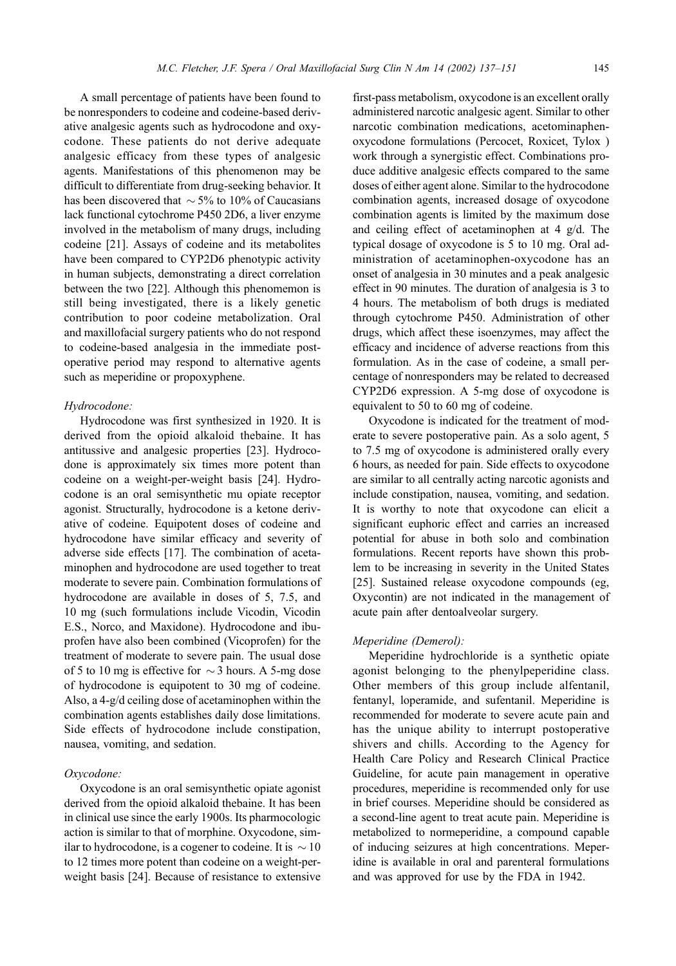A small percentage of patients have been found to be nonresponders to codeine and codeine-based derivative analgesic agents such as hydrocodone and oxycodone. These patients do not derive adequate analgesic efficacy from these types of analgesic agents. Manifestations of this phenomenon may be difficult to differentiate from drug-seeking behavior. It has been discovered that  $\sim$  5% to 10% of Caucasians lack functional cytochrome P450 2D6, a liver enzyme involved in the metabolism of many drugs, including codeine [21]. Assays of codeine and its metabolites have been compared to CYP2D6 phenotypic activity in human subjects, demonstrating a direct correlation between the two [22]. Although this phenomemon is still being investigated, there is a likely genetic contribution to poor codeine metabolization. Oral and maxillofacial surgery patients who do not respond to codeine-based analgesia in the immediate postoperative period may respond to alternative agents such as meperidine or propoxyphene.

## Hydrocodone:

Hydrocodone was first synthesized in 1920. It is derived from the opioid alkaloid thebaine. It has antitussive and analgesic properties [23]. Hydrocodone is approximately six times more potent than codeine on a weight-per-weight basis [24]. Hydrocodone is an oral semisynthetic mu opiate receptor agonist. Structurally, hydrocodone is a ketone derivative of codeine. Equipotent doses of codeine and hydrocodone have similar efficacy and severity of adverse side effects [17]. The combination of acetaminophen and hydrocodone are used together to treat moderate to severe pain. Combination formulations of hydrocodone are available in doses of 5, 7.5, and 10 mg (such formulations include Vicodin, Vicodin E.S., Norco, and Maxidone). Hydrocodone and ibuprofen have also been combined (Vicoprofen) for the treatment of moderate to severe pain. The usual dose of 5 to 10 mg is effective for  $\sim$  3 hours. A 5-mg dose of hydrocodone is equipotent to 30 mg of codeine. Also, a 4-g/d ceiling dose of acetaminophen within the combination agents establishes daily dose limitations. Side effects of hydrocodone include constipation, nausea, vomiting, and sedation.

#### Oxycodone:

Oxycodone is an oral semisynthetic opiate agonist derived from the opioid alkaloid thebaine. It has been in clinical use since the early 1900s. Its pharmocologic action is similar to that of morphine. Oxycodone, similar to hydrocodone, is a cogener to codeine. It is  $\sim$  10 to 12 times more potent than codeine on a weight-perweight basis [24]. Because of resistance to extensive

first-pass metabolism, oxycodone is an excellent orally administered narcotic analgesic agent. Similar to other narcotic combination medications, acetominaphenoxycodone formulations (Percocet, Roxicet, Tylox ) work through a synergistic effect. Combinations produce additive analgesic effects compared to the same doses of either agent alone. Similar to the hydrocodone combination agents, increased dosage of oxycodone combination agents is limited by the maximum dose and ceiling effect of acetaminophen at 4 g/d. The typical dosage of oxycodone is 5 to 10 mg. Oral administration of acetaminophen-oxycodone has an onset of analgesia in 30 minutes and a peak analgesic effect in 90 minutes. The duration of analgesia is 3 to 4 hours. The metabolism of both drugs is mediated through cytochrome P450. Administration of other drugs, which affect these isoenzymes, may affect the efficacy and incidence of adverse reactions from this formulation. As in the case of codeine, a small percentage of nonresponders may be related to decreased CYP2D6 expression. A 5-mg dose of oxycodone is equivalent to 50 to 60 mg of codeine.

Oxycodone is indicated for the treatment of moderate to severe postoperative pain. As a solo agent, 5 to 7.5 mg of oxycodone is administered orally every 6 hours, as needed for pain. Side effects to oxycodone are similar to all centrally acting narcotic agonists and include constipation, nausea, vomiting, and sedation. It is worthy to note that oxycodone can elicit a significant euphoric effect and carries an increased potential for abuse in both solo and combination formulations. Recent reports have shown this problem to be increasing in severity in the United States [25]. Sustained release oxycodone compounds (eg, Oxycontin) are not indicated in the management of acute pain after dentoalveolar surgery.

#### Meperidine (Demerol):

Meperidine hydrochloride is a synthetic opiate agonist belonging to the phenylpeperidine class. Other members of this group include alfentanil, fentanyl, loperamide, and sufentanil. Meperidine is recommended for moderate to severe acute pain and has the unique ability to interrupt postoperative shivers and chills. According to the Agency for Health Care Policy and Research Clinical Practice Guideline, for acute pain management in operative procedures, meperidine is recommended only for use in brief courses. Meperidine should be considered as a second-line agent to treat acute pain. Meperidine is metabolized to normeperidine, a compound capable of inducing seizures at high concentrations. Meperidine is available in oral and parenteral formulations and was approved for use by the FDA in 1942.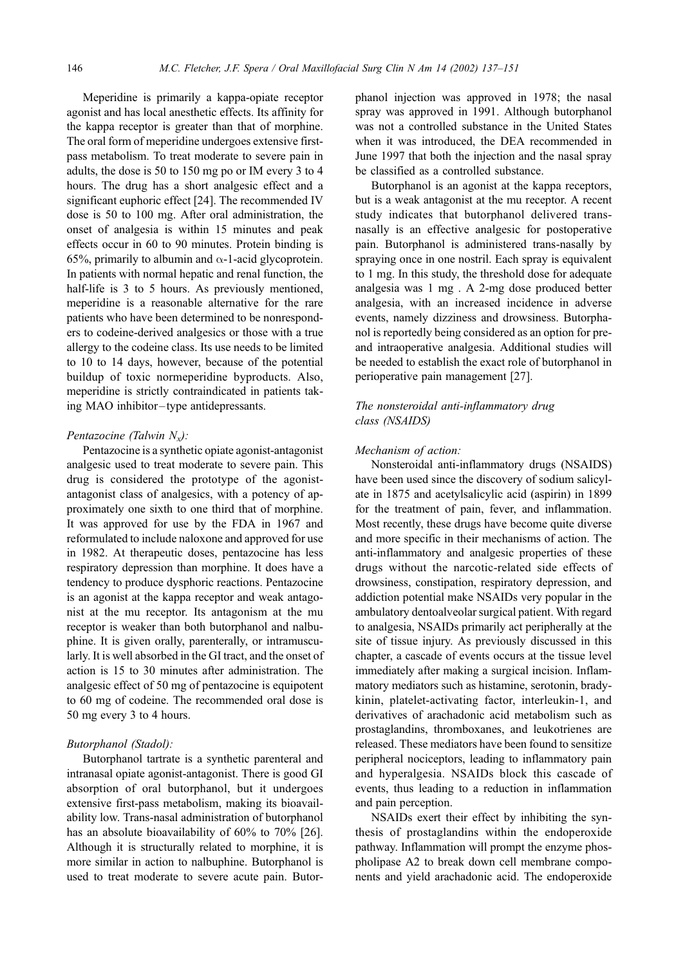Meperidine is primarily a kappa-opiate receptor agonist and has local anesthetic effects. Its affinity for the kappa receptor is greater than that of morphine. The oral form of meperidine undergoes extensive firstpass metabolism. To treat moderate to severe pain in adults, the dose is 50 to 150 mg po or IM every 3 to 4 hours. The drug has a short analgesic effect and a significant euphoric effect [24]. The recommended IV dose is 50 to 100 mg. After oral administration, the onset of analgesia is within 15 minutes and peak effects occur in 60 to 90 minutes. Protein binding is 65%, primarily to albumin and  $\alpha$ -1-acid glycoprotein. In patients with normal hepatic and renal function, the half-life is 3 to 5 hours. As previously mentioned, meperidine is a reasonable alternative for the rare patients who have been determined to be nonresponders to codeine-derived analgesics or those with a true allergy to the codeine class. Its use needs to be limited to 10 to 14 days, however, because of the potential

buildup of toxic normeperidine byproducts. Also, meperidine is strictly contraindicated in patients tak-

ing MAO inhibitor –type antidepressants.

# Pentazocine (Talwin  $N_x$ ):

Pentazocine is a synthetic opiate agonist-antagonist analgesic used to treat moderate to severe pain. This drug is considered the prototype of the agonistantagonist class of analgesics, with a potency of approximately one sixth to one third that of morphine. It was approved for use by the FDA in 1967 and reformulated to include naloxone and approved for use in 1982. At therapeutic doses, pentazocine has less respiratory depression than morphine. It does have a tendency to produce dysphoric reactions. Pentazocine is an agonist at the kappa receptor and weak antagonist at the mu receptor. Its antagonism at the mu receptor is weaker than both butorphanol and nalbuphine. It is given orally, parenterally, or intramuscularly. It is well absorbed in the GI tract, and the onset of action is 15 to 30 minutes after administration. The analgesic effect of 50 mg of pentazocine is equipotent to 60 mg of codeine. The recommended oral dose is 50 mg every 3 to 4 hours.

#### Butorphanol (Stadol):

Butorphanol tartrate is a synthetic parenteral and intranasal opiate agonist-antagonist. There is good GI absorption of oral butorphanol, but it undergoes extensive first-pass metabolism, making its bioavailability low. Trans-nasal administration of butorphanol has an absolute bioavailability of 60% to 70% [26]. Although it is structurally related to morphine, it is more similar in action to nalbuphine. Butorphanol is used to treat moderate to severe acute pain. Butorphanol injection was approved in 1978; the nasal spray was approved in 1991. Although butorphanol was not a controlled substance in the United States when it was introduced, the DEA recommended in June 1997 that both the injection and the nasal spray be classified as a controlled substance.

Butorphanol is an agonist at the kappa receptors, but is a weak antagonist at the mu receptor. A recent study indicates that butorphanol delivered transnasally is an effective analgesic for postoperative pain. Butorphanol is administered trans-nasally by spraying once in one nostril. Each spray is equivalent to 1 mg. In this study, the threshold dose for adequate analgesia was 1 mg . A 2-mg dose produced better analgesia, with an increased incidence in adverse events, namely dizziness and drowsiness. Butorphanol is reportedly being considered as an option for preand intraoperative analgesia. Additional studies will be needed to establish the exact role of butorphanol in perioperative pain management [27].

# The nonsteroidal anti-inflammatory drug class (NSAIDS)

#### Mechanism of action:

Nonsteroidal anti-inflammatory drugs (NSAIDS) have been used since the discovery of sodium salicylate in 1875 and acetylsalicylic acid (aspirin) in 1899 for the treatment of pain, fever, and inflammation. Most recently, these drugs have become quite diverse and more specific in their mechanisms of action. The anti-inflammatory and analgesic properties of these drugs without the narcotic-related side effects of drowsiness, constipation, respiratory depression, and addiction potential make NSAIDs very popular in the ambulatory dentoalveolar surgical patient. With regard to analgesia, NSAIDs primarily act peripherally at the site of tissue injury. As previously discussed in this chapter, a cascade of events occurs at the tissue level immediately after making a surgical incision. Inflammatory mediators such as histamine, serotonin, bradykinin, platelet-activating factor, interleukin-1, and derivatives of arachadonic acid metabolism such as prostaglandins, thromboxanes, and leukotrienes are released. These mediators have been found to sensitize peripheral nociceptors, leading to inflammatory pain and hyperalgesia. NSAIDs block this cascade of events, thus leading to a reduction in inflammation and pain perception.

NSAIDs exert their effect by inhibiting the synthesis of prostaglandins within the endoperoxide pathway. Inflammation will prompt the enzyme phospholipase A2 to break down cell membrane components and yield arachadonic acid. The endoperoxide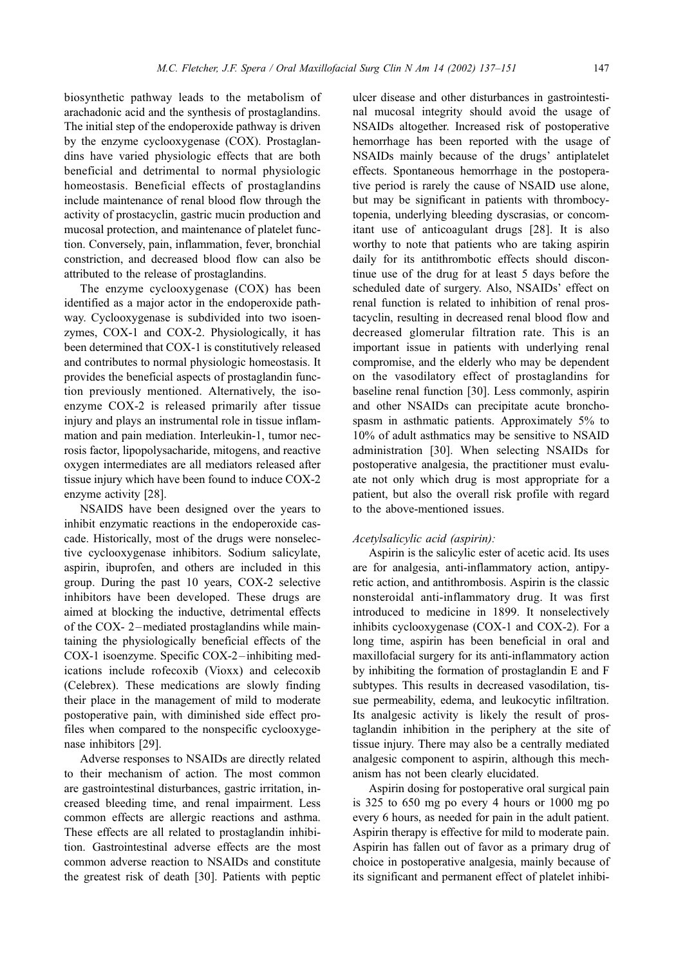biosynthetic pathway leads to the metabolism of arachadonic acid and the synthesis of prostaglandins. The initial step of the endoperoxide pathway is driven by the enzyme cyclooxygenase (COX). Prostaglandins have varied physiologic effects that are both beneficial and detrimental to normal physiologic homeostasis. Beneficial effects of prostaglandins include maintenance of renal blood flow through the activity of prostacyclin, gastric mucin production and mucosal protection, and maintenance of platelet function. Conversely, pain, inflammation, fever, bronchial constriction, and decreased blood flow can also be attributed to the release of prostaglandins.

The enzyme cyclooxygenase (COX) has been identified as a major actor in the endoperoxide pathway. Cyclooxygenase is subdivided into two isoenzymes, COX-1 and COX-2. Physiologically, it has been determined that COX-1 is constitutively released and contributes to normal physiologic homeostasis. It provides the beneficial aspects of prostaglandin function previously mentioned. Alternatively, the isoenzyme COX-2 is released primarily after tissue injury and plays an instrumental role in tissue inflammation and pain mediation. Interleukin-1, tumor necrosis factor, lipopolysacharide, mitogens, and reactive oxygen intermediates are all mediators released after tissue injury which have been found to induce COX-2 enzyme activity [28].

NSAIDS have been designed over the years to inhibit enzymatic reactions in the endoperoxide cascade. Historically, most of the drugs were nonselective cyclooxygenase inhibitors. Sodium salicylate, aspirin, ibuprofen, and others are included in this group. During the past 10 years, COX-2 selective inhibitors have been developed. These drugs are aimed at blocking the inductive, detrimental effects of the COX- 2 –mediated prostaglandins while maintaining the physiologically beneficial effects of the COX-1 isoenzyme. Specific COX-2 –inhibiting medications include rofecoxib (Vioxx) and celecoxib (Celebrex). These medications are slowly finding their place in the management of mild to moderate postoperative pain, with diminished side effect profiles when compared to the nonspecific cyclooxygenase inhibitors [29].

Adverse responses to NSAIDs are directly related to their mechanism of action. The most common are gastrointestinal disturbances, gastric irritation, increased bleeding time, and renal impairment. Less common effects are allergic reactions and asthma. These effects are all related to prostaglandin inhibition. Gastrointestinal adverse effects are the most common adverse reaction to NSAIDs and constitute the greatest risk of death [30]. Patients with peptic ulcer disease and other disturbances in gastrointestinal mucosal integrity should avoid the usage of NSAIDs altogether. Increased risk of postoperative hemorrhage has been reported with the usage of NSAIDs mainly because of the drugs' antiplatelet effects. Spontaneous hemorrhage in the postoperative period is rarely the cause of NSAID use alone, but may be significant in patients with thrombocytopenia, underlying bleeding dyscrasias, or concomitant use of anticoagulant drugs [28]. It is also worthy to note that patients who are taking aspirin daily for its antithrombotic effects should discontinue use of the drug for at least 5 days before the scheduled date of surgery. Also, NSAIDs' effect on renal function is related to inhibition of renal prostacyclin, resulting in decreased renal blood flow and decreased glomerular filtration rate. This is an important issue in patients with underlying renal compromise, and the elderly who may be dependent on the vasodilatory effect of prostaglandins for baseline renal function [30]. Less commonly, aspirin and other NSAIDs can precipitate acute bronchospasm in asthmatic patients. Approximately 5% to 10% of adult asthmatics may be sensitive to NSAID administration [30]. When selecting NSAIDs for postoperative analgesia, the practitioner must evaluate not only which drug is most appropriate for a patient, but also the overall risk profile with regard to the above-mentioned issues.

# Acetylsalicylic acid (aspirin):

Aspirin is the salicylic ester of acetic acid. Its uses are for analgesia, anti-inflammatory action, antipyretic action, and antithrombosis. Aspirin is the classic nonsteroidal anti-inflammatory drug. It was first introduced to medicine in 1899. It nonselectively inhibits cyclooxygenase (COX-1 and COX-2). For a long time, aspirin has been beneficial in oral and maxillofacial surgery for its anti-inflammatory action by inhibiting the formation of prostaglandin E and F subtypes. This results in decreased vasodilation, tissue permeability, edema, and leukocytic infiltration. Its analgesic activity is likely the result of prostaglandin inhibition in the periphery at the site of tissue injury. There may also be a centrally mediated analgesic component to aspirin, although this mechanism has not been clearly elucidated.

Aspirin dosing for postoperative oral surgical pain is 325 to 650 mg po every 4 hours or 1000 mg po every 6 hours, as needed for pain in the adult patient. Aspirin therapy is effective for mild to moderate pain. Aspirin has fallen out of favor as a primary drug of choice in postoperative analgesia, mainly because of its significant and permanent effect of platelet inhibi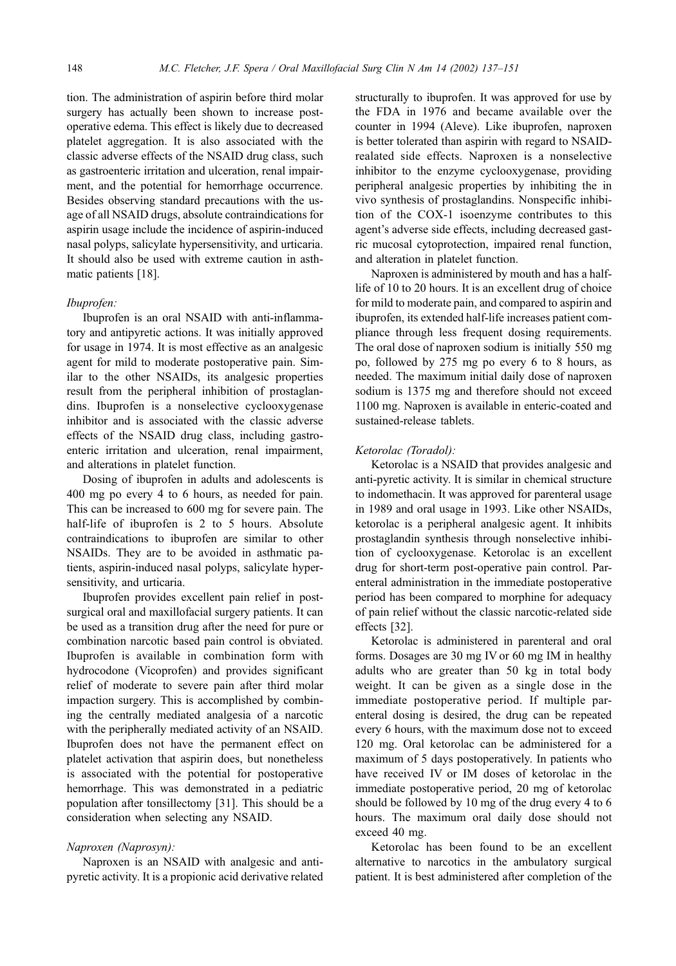tion. The administration of aspirin before third molar surgery has actually been shown to increase postoperative edema. This effect is likely due to decreased platelet aggregation. It is also associated with the classic adverse effects of the NSAID drug class, such as gastroenteric irritation and ulceration, renal impairment, and the potential for hemorrhage occurrence. Besides observing standard precautions with the usage of all NSAID drugs, absolute contraindications for aspirin usage include the incidence of aspirin-induced nasal polyps, salicylate hypersensitivity, and urticaria. It should also be used with extreme caution in asthmatic patients [18].

## Ibuprofen:

Ibuprofen is an oral NSAID with anti-inflammatory and antipyretic actions. It was initially approved for usage in 1974. It is most effective as an analgesic agent for mild to moderate postoperative pain. Similar to the other NSAIDs, its analgesic properties result from the peripheral inhibition of prostaglandins. Ibuprofen is a nonselective cyclooxygenase inhibitor and is associated with the classic adverse effects of the NSAID drug class, including gastroenteric irritation and ulceration, renal impairment, and alterations in platelet function.

Dosing of ibuprofen in adults and adolescents is 400 mg po every 4 to 6 hours, as needed for pain. This can be increased to 600 mg for severe pain. The half-life of ibuprofen is 2 to 5 hours. Absolute contraindications to ibuprofen are similar to other NSAIDs. They are to be avoided in asthmatic patients, aspirin-induced nasal polyps, salicylate hypersensitivity, and urticaria.

Ibuprofen provides excellent pain relief in postsurgical oral and maxillofacial surgery patients. It can be used as a transition drug after the need for pure or combination narcotic based pain control is obviated. Ibuprofen is available in combination form with hydrocodone (Vicoprofen) and provides significant relief of moderate to severe pain after third molar impaction surgery. This is accomplished by combining the centrally mediated analgesia of a narcotic with the peripherally mediated activity of an NSAID. Ibuprofen does not have the permanent effect on platelet activation that aspirin does, but nonetheless is associated with the potential for postoperative hemorrhage. This was demonstrated in a pediatric population after tonsillectomy [31]. This should be a consideration when selecting any NSAID.

#### Naproxen (Naprosyn):

Naproxen is an NSAID with analgesic and antipyretic activity. It is a propionic acid derivative related structurally to ibuprofen. It was approved for use by the FDA in 1976 and became available over the counter in 1994 (Aleve). Like ibuprofen, naproxen is better tolerated than aspirin with regard to NSAIDrealated side effects. Naproxen is a nonselective inhibitor to the enzyme cyclooxygenase, providing peripheral analgesic properties by inhibiting the in vivo synthesis of prostaglandins. Nonspecific inhibition of the COX-1 isoenzyme contributes to this agent's adverse side effects, including decreased gastric mucosal cytoprotection, impaired renal function, and alteration in platelet function.

Naproxen is administered by mouth and has a halflife of 10 to 20 hours. It is an excellent drug of choice for mild to moderate pain, and compared to aspirin and ibuprofen, its extended half-life increases patient compliance through less frequent dosing requirements. The oral dose of naproxen sodium is initially 550 mg po, followed by 275 mg po every 6 to 8 hours, as needed. The maximum initial daily dose of naproxen sodium is 1375 mg and therefore should not exceed 1100 mg. Naproxen is available in enteric-coated and sustained-release tablets.

#### Ketorolac (Toradol):

Ketorolac is a NSAID that provides analgesic and anti-pyretic activity. It is similar in chemical structure to indomethacin. It was approved for parenteral usage in 1989 and oral usage in 1993. Like other NSAIDs, ketorolac is a peripheral analgesic agent. It inhibits prostaglandin synthesis through nonselective inhibition of cyclooxygenase. Ketorolac is an excellent drug for short-term post-operative pain control. Parenteral administration in the immediate postoperative period has been compared to morphine for adequacy of pain relief without the classic narcotic-related side effects [32].

Ketorolac is administered in parenteral and oral forms. Dosages are 30 mg IV or 60 mg IM in healthy adults who are greater than 50 kg in total body weight. It can be given as a single dose in the immediate postoperative period. If multiple parenteral dosing is desired, the drug can be repeated every 6 hours, with the maximum dose not to exceed 120 mg. Oral ketorolac can be administered for a maximum of 5 days postoperatively. In patients who have received IV or IM doses of ketorolac in the immediate postoperative period, 20 mg of ketorolac should be followed by 10 mg of the drug every 4 to 6 hours. The maximum oral daily dose should not exceed 40 mg.

Ketorolac has been found to be an excellent alternative to narcotics in the ambulatory surgical patient. It is best administered after completion of the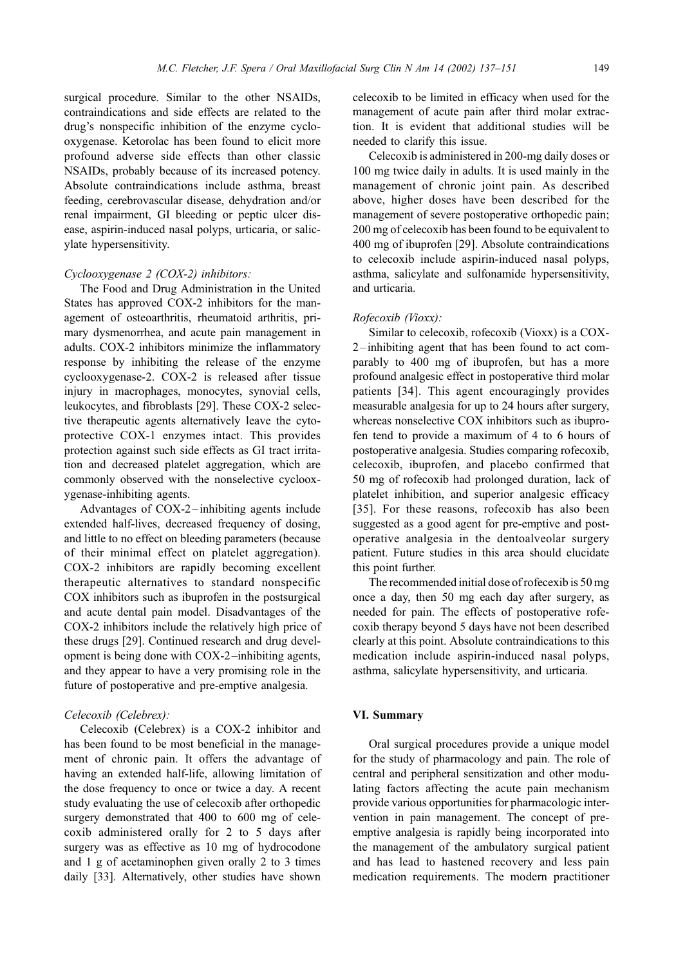surgical procedure. Similar to the other NSAIDs, contraindications and side effects are related to the drug's nonspecific inhibition of the enzyme cyclooxygenase. Ketorolac has been found to elicit more profound adverse side effects than other classic NSAIDs, probably because of its increased potency. Absolute contraindications include asthma, breast feeding, cerebrovascular disease, dehydration and/or renal impairment, GI bleeding or peptic ulcer disease, aspirin-induced nasal polyps, urticaria, or salicylate hypersensitivity.

#### Cyclooxygenase 2 (COX-2) inhibitors:

The Food and Drug Administration in the United States has approved COX-2 inhibitors for the management of osteoarthritis, rheumatoid arthritis, primary dysmenorrhea, and acute pain management in adults. COX-2 inhibitors minimize the inflammatory response by inhibiting the release of the enzyme cyclooxygenase-2. COX-2 is released after tissue injury in macrophages, monocytes, synovial cells, leukocytes, and fibroblasts [29]. These COX-2 selective therapeutic agents alternatively leave the cytoprotective COX-1 enzymes intact. This provides protection against such side effects as GI tract irritation and decreased platelet aggregation, which are commonly observed with the nonselective cyclooxygenase-inhibiting agents.

Advantages of COX-2 –inhibiting agents include extended half-lives, decreased frequency of dosing, and little to no effect on bleeding parameters (because of their minimal effect on platelet aggregation). COX-2 inhibitors are rapidly becoming excellent therapeutic alternatives to standard nonspecific COX inhibitors such as ibuprofen in the postsurgical and acute dental pain model. Disadvantages of the COX-2 inhibitors include the relatively high price of these drugs [29]. Continued research and drug development is being done with COX-2 –inhibiting agents, and they appear to have a very promising role in the future of postoperative and pre-emptive analgesia.

#### Celecoxib (Celebrex):

Celecoxib (Celebrex) is a COX-2 inhibitor and has been found to be most beneficial in the management of chronic pain. It offers the advantage of having an extended half-life, allowing limitation of the dose frequency to once or twice a day. A recent study evaluating the use of celecoxib after orthopedic surgery demonstrated that 400 to 600 mg of celecoxib administered orally for 2 to 5 days after surgery was as effective as 10 mg of hydrocodone and 1 g of acetaminophen given orally 2 to 3 times daily [33]. Alternatively, other studies have shown celecoxib to be limited in efficacy when used for the management of acute pain after third molar extraction. It is evident that additional studies will be needed to clarify this issue.

Celecoxib is administered in 200-mg daily doses or 100 mg twice daily in adults. It is used mainly in the management of chronic joint pain. As described above, higher doses have been described for the management of severe postoperative orthopedic pain; 200 mg of celecoxib has been found to be equivalent to 400 mg of ibuprofen [29]. Absolute contraindications to celecoxib include aspirin-induced nasal polyps, asthma, salicylate and sulfonamide hypersensitivity, and urticaria.

#### Rofecoxib (Vioxx):

Similar to celecoxib, rofecoxib (Vioxx) is a COX-2 –inhibiting agent that has been found to act comparably to 400 mg of ibuprofen, but has a more profound analgesic effect in postoperative third molar patients [34]. This agent encouragingly provides measurable analgesia for up to 24 hours after surgery, whereas nonselective COX inhibitors such as ibuprofen tend to provide a maximum of 4 to 6 hours of postoperative analgesia. Studies comparing rofecoxib, celecoxib, ibuprofen, and placebo confirmed that 50 mg of rofecoxib had prolonged duration, lack of platelet inhibition, and superior analgesic efficacy [35]. For these reasons, rofecoxib has also been suggested as a good agent for pre-emptive and postoperative analgesia in the dentoalveolar surgery patient. Future studies in this area should elucidate this point further.

The recommended initial dose of rofecexib is 50 mg once a day, then 50 mg each day after surgery, as needed for pain. The effects of postoperative rofecoxib therapy beyond 5 days have not been described clearly at this point. Absolute contraindications to this medication include aspirin-induced nasal polyps, asthma, salicylate hypersensitivity, and urticaria.

## VI. Summary

Oral surgical procedures provide a unique model for the study of pharmacology and pain. The role of central and peripheral sensitization and other modulating factors affecting the acute pain mechanism provide various opportunities for pharmacologic intervention in pain management. The concept of preemptive analgesia is rapidly being incorporated into the management of the ambulatory surgical patient and has lead to hastened recovery and less pain medication requirements. The modern practitioner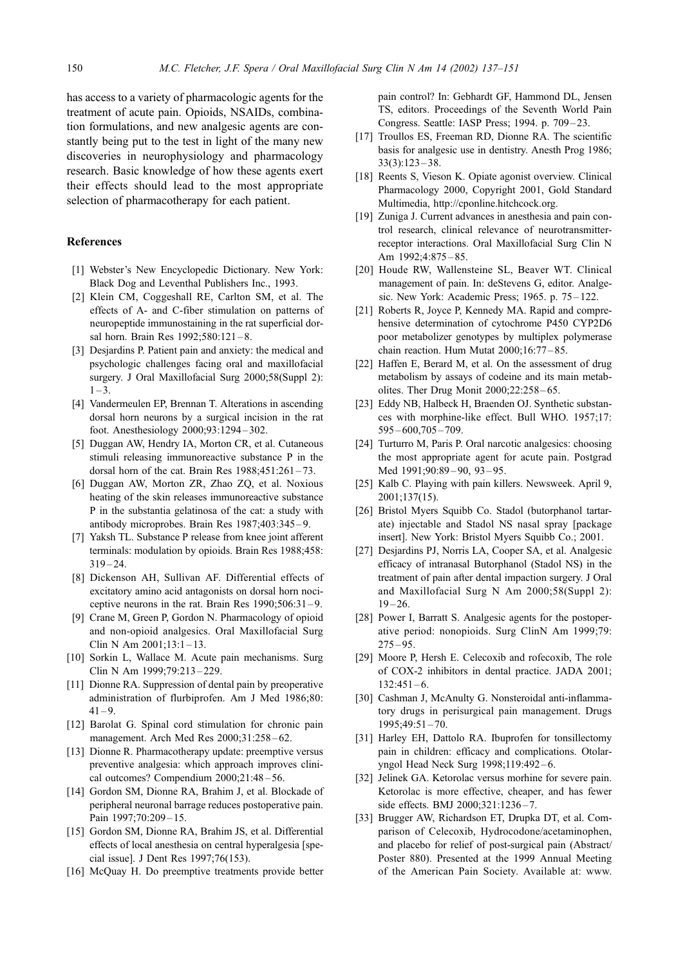has access to a variety of pharmacologic agents for the treatment of acute pain. Opioids, NSAIDs, combination formulations, and new analgesic agents are constantly being put to the test in light of the many new discoveries in neurophysiology and pharmacology research. Basic knowledge of how these agents exert their effects should lead to the most appropriate selection of pharmacotherapy for each patient.

# References

- [1] Webster's New Encyclopedic Dictionary. New York: Black Dog and Leventhal Publishers Inc., 1993.
- [2] Klein CM, Coggeshall RE, Carlton SM, et al. The effects of A- and C-fiber stimulation on patterns of neuropeptide immunostaining in the rat superficial dorsal horn. Brain Res 1992;580:121-8.
- [3] Desjardins P. Patient pain and anxiety: the medical and psychologic challenges facing oral and maxillofacial surgery. J Oral Maxillofacial Surg 2000;58(Suppl 2):  $1 - 3$ .
- [4] Vandermeulen EP, Brennan T. Alterations in ascending dorsal horn neurons by a surgical incision in the rat foot. Anesthesiology 2000;93:1294 – 302.
- [5] Duggan AW, Hendry IA, Morton CR, et al. Cutaneous stimuli releasing immunoreactive substance P in the dorsal horn of the cat. Brain Res 1988;451:261 – 73.
- [6] Duggan AW, Morton ZR, Zhao ZQ, et al. Noxious heating of the skin releases immunoreactive substance P in the substantia gelatinosa of the cat: a study with antibody microprobes. Brain Res 1987;403:345 – 9.
- [7] Yaksh TL. Substance P release from knee joint afferent terminals: modulation by opioids. Brain Res 1988;458:  $319 - 24.$
- [8] Dickenson AH, Sullivan AF. Differential effects of excitatory amino acid antagonists on dorsal horn nociceptive neurons in the rat. Brain Res  $1990;506:31-9$ .
- [9] Crane M, Green P, Gordon N. Pharmacology of opioid and non-opioid analgesics. Oral Maxillofacial Surg Clin N Am  $2001;13:1-13$ .
- [10] Sorkin L, Wallace M. Acute pain mechanisms. Surg Clin N Am 1999;79:213 – 229.
- [11] Dionne RA. Suppression of dental pain by preoperative administration of flurbiprofen. Am J Med 1986;80:  $41 - 9$ .
- [12] Barolat G. Spinal cord stimulation for chronic pain management. Arch Med Res 2000;31:258 – 62.
- [13] Dionne R. Pharmacotherapy update: preemptive versus preventive analgesia: which approach improves clinical outcomes? Compendium 2000;21:48 – 56.
- [14] Gordon SM, Dionne RA, Brahim J, et al. Blockade of peripheral neuronal barrage reduces postoperative pain. Pain 1997;70:209-15.
- [15] Gordon SM, Dionne RA, Brahim JS, et al. Differential effects of local anesthesia on central hyperalgesia [special issue]. J Dent Res 1997;76(153).
- [16] McQuay H. Do preemptive treatments provide better

pain control? In: Gebhardt GF, Hammond DL, Jensen TS, editors. Proceedings of the Seventh World Pain Congress. Seattle: IASP Press; 1994. p. 709-23.

- [17] Troullos ES, Freeman RD, Dionne RA. The scientific basis for analgesic use in dentistry. Anesth Prog 1986; 33(3):123 – 38.
- [18] Reents S, Vieson K. Opiate agonist overview. Clinical Pharmacology 2000, Copyright 2001, Gold Standard Multimedia, http://cponline.hitchcock.org.
- [19] Zuniga J. Current advances in anesthesia and pain control research, clinical relevance of neurotransmitterreceptor interactions. Oral Maxillofacial Surg Clin N Am 1992;4:875-85.
- [20] Houde RW, Wallensteine SL, Beaver WT. Clinical management of pain. In: deStevens G, editor. Analgesic. New York: Academic Press; 1965. p. 75 – 122.
- [21] Roberts R, Joyce P, Kennedy MA. Rapid and comprehensive determination of cytochrome P450 CYP2D6 poor metabolizer genotypes by multiplex polymerase chain reaction. Hum Mutat 2000;16:77 – 85.
- [22] Haffen E, Berard M, et al. On the assessment of drug metabolism by assays of codeine and its main metabolites. Ther Drug Monit 2000;22:258 – 65.
- [23] Eddy NB, Halbeck H, Braenden OJ. Synthetic substances with morphine-like effect. Bull WHO. 1957;17: 595 – 600,705 – 709.
- [24] Turturro M, Paris P. Oral narcotic analgesics: choosing the most appropriate agent for acute pain. Postgrad Med 1991;90:89-90, 93-95.
- [25] Kalb C. Playing with pain killers. Newsweek. April 9, 2001;137(15).
- [26] Bristol Myers Squibb Co. Stadol (butorphanol tartarate) injectable and Stadol NS nasal spray [package insert]. New York: Bristol Myers Squibb Co.; 2001.
- [27] Desjardins PJ, Norris LA, Cooper SA, et al. Analgesic efficacy of intranasal Butorphanol (Stadol NS) in the treatment of pain after dental impaction surgery. J Oral and Maxillofacial Surg N Am 2000;58(Suppl 2):  $19 - 26.$
- [28] Power I, Barratt S. Analgesic agents for the postoperative period: nonopioids. Surg ClinN Am 1999;79:  $275 - 95.$
- [29] Moore P, Hersh E. Celecoxib and rofecoxib, The role of COX-2 inhibitors in dental practice. JADA 2001;  $132:451 - 6$ .
- [30] Cashman J, McAnulty G. Nonsteroidal anti-inflammatory drugs in perisurgical pain management. Drugs 1995;49:51 – 70.
- [31] Harley EH, Dattolo RA. Ibuprofen for tonsillectomy pain in children: efficacy and complications. Otolaryngol Head Neck Surg 1998;119:492-6.
- [32] Jelinek GA. Ketorolac versus morhine for severe pain. Ketorolac is more effective, cheaper, and has fewer side effects. BMJ 2000;321:1236-7.
- [33] Brugger AW, Richardson ET, Drupka DT, et al. Comparison of Celecoxib, Hydrocodone/acetaminophen, and placebo for relief of post-surgical pain (Abstract/ Poster 880). Presented at the 1999 Annual Meeting of the American Pain Society. Available at: www.